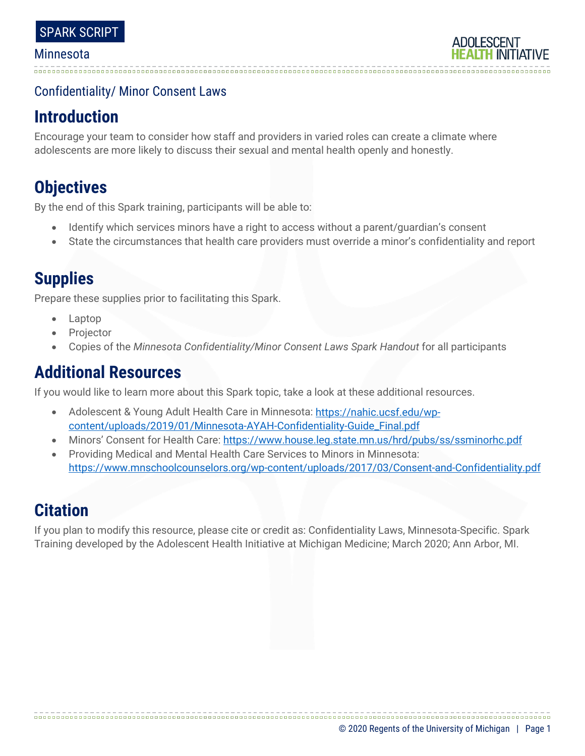### Confidentiality/ Minor Consent Laws

## **Introduction**

Encourage your team to consider how staff and providers in varied roles can create a climate where adolescents are more likely to discuss their sexual and mental health openly and honestly.

# **Objectives**

By the end of this Spark training, participants will be able to:

- Identify which services minors have a right to access without a parent/guardian's consent
- State the circumstances that health care providers must override a minor's confidentiality and report

## **Supplies**

Prepare these supplies prior to facilitating this Spark.

- Laptop
- **Projector**
- Copies of the *Minnesota Confidentiality/Minor Consent Laws Spark Handout* for all participants

## **Additional Resources**

If you would like to learn more about this Spark topic, take a look at these additional resources.

- Adolescent & Young Adult Health Care in Minnesota: [https://nahic.ucsf.edu/wp](https://nahic.ucsf.edu/wp-content/uploads/2019/01/Minnesota-AYAH-Confidentiality-Guide_Final.pdf)[content/uploads/2019/01/Minnesota-AYAH-Confidentiality-Guide\\_Final.pdf](https://nahic.ucsf.edu/wp-content/uploads/2019/01/Minnesota-AYAH-Confidentiality-Guide_Final.pdf)
- Minors' Consent for Health Care[: https://www.house.leg.state.mn.us/hrd/pubs/ss/ssminorhc.pdf](https://www.house.leg.state.mn.us/hrd/pubs/ss/ssminorhc.pdf)
- Providing Medical and Mental Health Care Services to Minors in Minnesota: <https://www.mnschoolcounselors.org/wp-content/uploads/2017/03/Consent-and-Confidentiality.pdf>

### **Citation**

If you plan to modify this resource, please cite or credit as: Confidentiality Laws, Minnesota-Specific. Spark Training developed by the Adolescent Health Initiative at Michigan Medicine; March 2020; Ann Arbor, MI.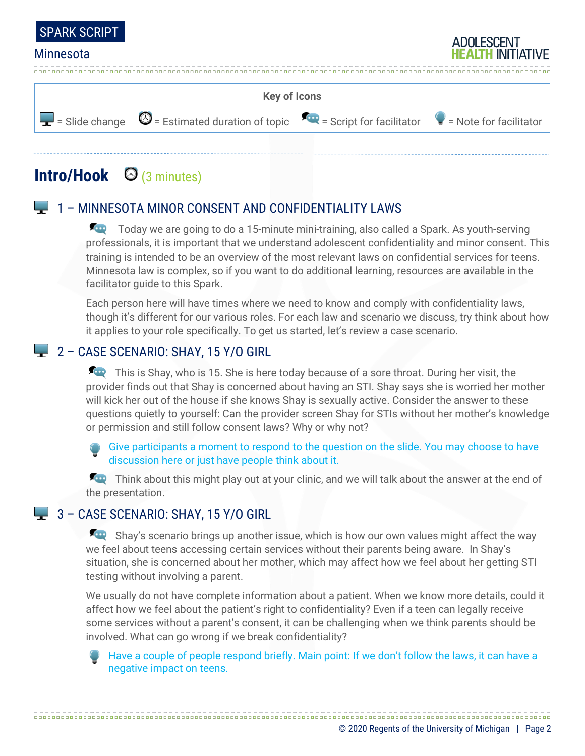



# **Intro/Hook** (3 minutes)

#### 1 – MINNESOTA MINOR CONSENT AND CONFIDENTIALITY LAWS

Today we are going to do a 15-minute mini-training, also called a Spark. As youth-serving professionals, it is important that we understand adolescent confidentiality and minor consent. This training is intended to be an overview of the most relevant laws on confidential services for teens. Minnesota law is complex, so if you want to do additional learning, resources are available in the facilitator guide to this Spark.

Each person here will have times where we need to know and comply with confidentiality laws, though it's different for our various roles. For each law and scenario we discuss, try think about how it applies to your role specifically. To get us started, let's review a case scenario.

### 2 - CASE SCENARIO: SHAY, 15 Y/O GIRL

This is Shay, who is 15. She is here today because of a sore throat. During her visit, the provider finds out that Shay is concerned about having an STI. Shay says she is worried her mother will kick her out of the house if she knows Shay is sexually active. Consider the answer to these questions quietly to yourself: Can the provider screen Shay for STIs without her mother's knowledge or permission and still follow consent laws? Why or why not?

Give participants a moment to respond to the question on the slide. You may choose to have discussion here or just have people think about it.

Think about this might play out at your clinic, and we will talk about the answer at the end of the presentation.

#### 3 - CASE SCENARIO: SHAY, 15 Y/O GIRL

Shay's scenario brings up another issue, which is how our own values might affect the way we feel about teens accessing certain services without their parents being aware. In Shay's situation, she is concerned about her mother, which may affect how we feel about her getting STI testing without involving a parent.

We usually do not have complete information about a patient. When we know more details, could it affect how we feel about the patient's right to confidentiality? Even if a teen can legally receive some services without a parent's consent, it can be challenging when we think parents should be involved. What can go wrong if we break confidentiality?

Have a couple of people respond briefly. Main point: If we don't follow the laws, it can have a negative impact on teens.

© 2020 Regents of the University of Michigan | Page 2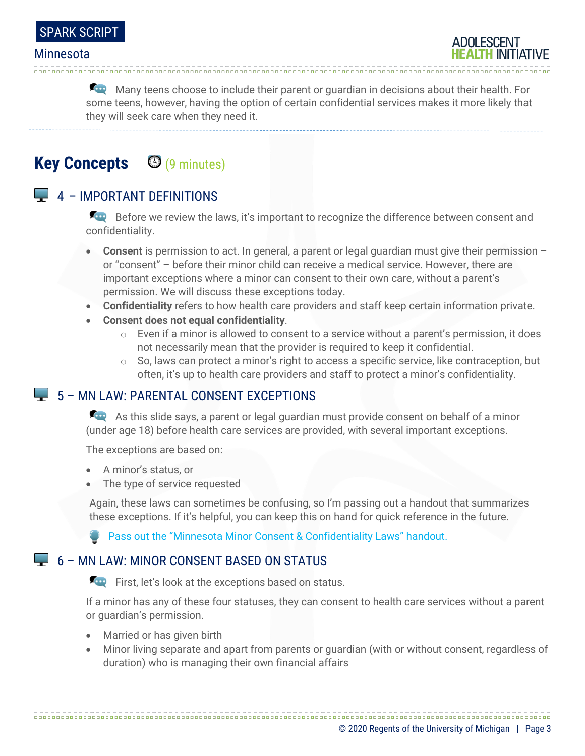

Many teens choose to include their parent or quardian in decisions about their health. For some teens, however, having the option of certain confidential services makes it more likely that they will seek care when they need it.

### **Key Concepts** (9 minutes)

#### $\Box$  4 – IMPORTANT DEFINITIONS

Before we review the laws, it's important to recognize the difference between consent and confidentiality.

- **Consent** is permission to act. In general, a parent or legal guardian must give their permission or "consent" – before their minor child can receive a medical service. However, there are important exceptions where a minor can consent to their own care, without a parent's permission. We will discuss these exceptions today.
- **Confidentiality** refers to how health care providers and staff keep certain information private.
- **Consent does not equal confidentiality**.
	- $\circ$  Even if a minor is allowed to consent to a service without a parent's permission, it does not necessarily mean that the provider is required to keep it confidential.
	- $\circ$  So, laws can protect a minor's right to access a specific service, like contraception, but often, it's up to health care providers and staff to protect a minor's confidentiality.

#### 5 – MN LAW: PARENTAL CONSENT EXCEPTIONS

As this slide says, a parent or legal guardian must provide consent on behalf of a minor (under age 18) before health care services are provided, with several important exceptions.

The exceptions are based on:

- A minor's status, or
- The type of service requested

Again, these laws can sometimes be confusing, so I'm passing out a handout that summarizes these exceptions. If it's helpful, you can keep this on hand for quick reference in the future.

**Pass out the "Minnesota Minor Consent & Confidentiality Laws" handout.** 

#### $\Box$  6 – MN LAW: MINOR CONSENT BASED ON STATUS

First, let's look at the exceptions based on status.

If a minor has any of these four statuses, they can consent to health care services without a parent or guardian's permission.

- Married or has given birth
- Minor living separate and apart from parents or guardian (with or without consent, regardless of duration) who is managing their own financial affairs

© 2020 Regents of the University of Michigan | Page 3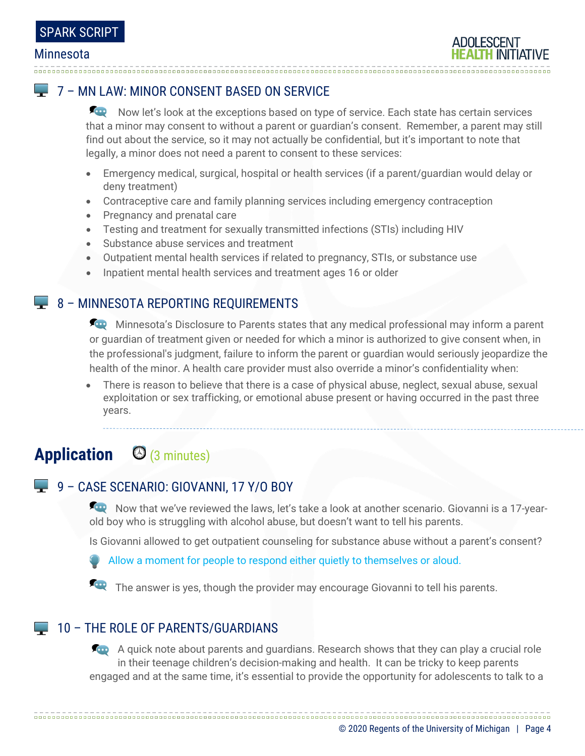### 7 – MN LAW: MINOR CONSENT BASED ON SERVICE

Now let's look at the exceptions based on type of service. Each state has certain services that a minor may consent to without a parent or guardian's consent. Remember, a parent may still find out about the service, so it may not actually be confidential, but it's important to note that legally, a minor does not need a parent to consent to these services:

- Emergency medical, surgical, hospital or health services (if a parent/guardian would delay or deny treatment)
- Contraceptive care and family planning services including emergency contraception
- Pregnancy and prenatal care
- Testing and treatment for sexually transmitted infections (STIs) including HIV
- Substance abuse services and treatment
- Outpatient mental health services if related to pregnancy, STIs, or substance use
- Inpatient mental health services and treatment ages 16 or older

### $\blacktriangleright$  8 – MINNESOTA REPORTING REQUIREMENTS

**Alter** Minnesota's Disclosure to Parents states that any medical professional may inform a parent or guardian of treatment given or needed for which a minor is authorized to give consent when, in the professional's judgment, failure to inform the parent or guardian would seriously jeopardize the health of the minor. A health care provider must also override a minor's confidentiality when:

• There is reason to believe that there is a case of physical abuse, neglect, sexual abuse, sexual exploitation or sex trafficking, or emotional abuse present or having occurred in the past three years.

# **Application** (3 minutes)

### 9 – CASE SCENARIO: GIOVANNI, 17 Y/O BOY

Now that we've reviewed the laws, let's take a look at another scenario. Giovanni is a 17-yearold boy who is struggling with alcohol abuse, but doesn't want to tell his parents.

Is Giovanni allowed to get outpatient counseling for substance abuse without a parent's consent?

Allow a moment for people to respond either quietly to themselves or aloud.

The answer is yes, though the provider may encourage Giovanni to tell his parents.

#### **10 - THE ROLE OF PARENTS/GUARDIANS**

A quick note about parents and quardians. Research shows that they can play a crucial role in their teenage children's decision-making and health. It can be tricky to keep parents engaged and at the same time, it's essential to provide the opportunity for adolescents to talk to a

© 2020 Regents of the University of Michigan | Page 4